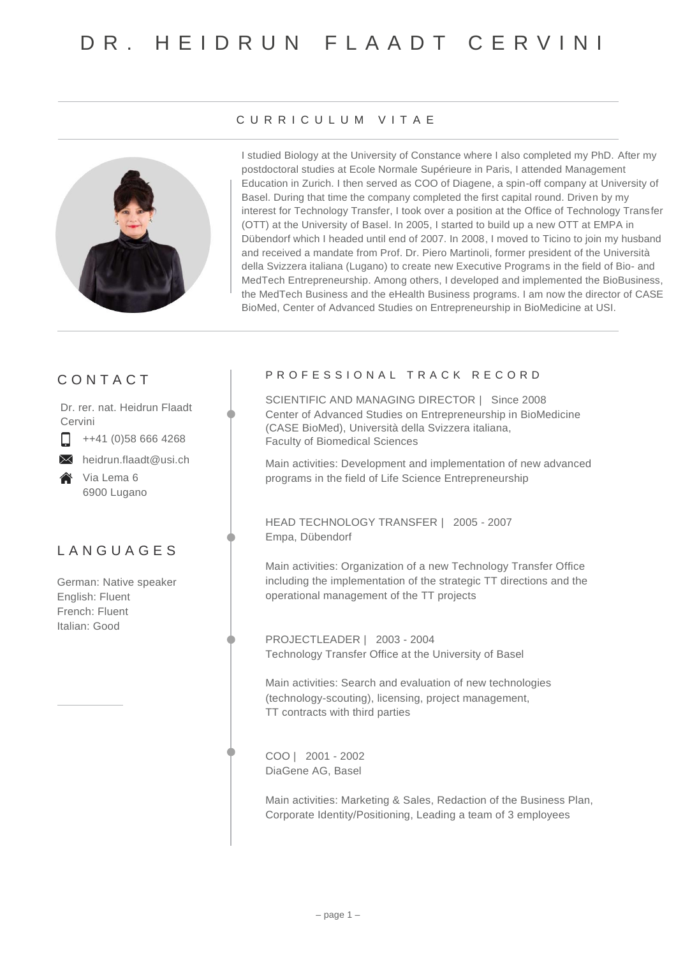

### C U R R I C U L U M V I T A E

I studied Biology at the University of Constance where I also completed my PhD. After my postdoctoral studies at Ecole Normale Supérieure in Paris, I attended Management Education in Zurich. I then served as COO of Diagene, a spin-off company at University of Basel. During that time the company completed the first capital round. Driven by my interest for Technology Transfer, I took over a position at the Office of Technology Transfer (OTT) at the University of Basel. In 2005, I started to build up a new OTT at EMPA in Dübendorf which I headed until end of 2007. In 2008, I moved to Ticino to join my husband and received a mandate from Prof. Dr. Piero Martinoli, former president of the Università della Svizzera italiana (Lugano) to create new Executive Programs in the field of Bio- and MedTech Entrepreneurship. Among others, I developed and implemented the BioBusiness, the MedTech Business and the eHealth Business programs. I am now the director of CASE BioMed, Center of Advanced Studies on Entrepreneurship in BioMedicine at USI.

## C O N T A C T

Dr. rer. nat. Heidrun Flaadt Cervini

++41 (0)58 666 4268 П

 $\times$  heidrun.flaadt@usi.ch

**谷** Via Lema 6 6900 Lugano

# L A N G U A G E S

German: Native speaker English: Fluent French: Fluent Italian: Good

### PROFESSIONAL TRACK RECORD

SCIENTIFIC AND MANAGING DIRECTOR | Since 2008 Center of Advanced Studies on Entrepreneurship in BioMedicine (CASE BioMed), Università della Svizzera italiana, Faculty of Biomedical Sciences

Main activities: Development and implementation of new advanced programs in the field of Life Science Entrepreneurship

HEAD TECHNOLOGY TRANSFER | 2005 - 2007 Empa, Dübendorf

Main activities: Organization of a new Technology Transfer Office including the implementation of the strategic TT directions and the operational management of the TT projects

PROJECTLEADER | 2003 - 2004 Technology Transfer Office at the University of Basel

Main activities: Search and evaluation of new technologies (technology-scouting), licensing, project management, TT contracts with third parties

COO | 2001 - 2002 DiaGene AG, Basel

Main activities: Marketing & Sales, Redaction of the Business Plan, Corporate Identity/Positioning, Leading a team of 3 employees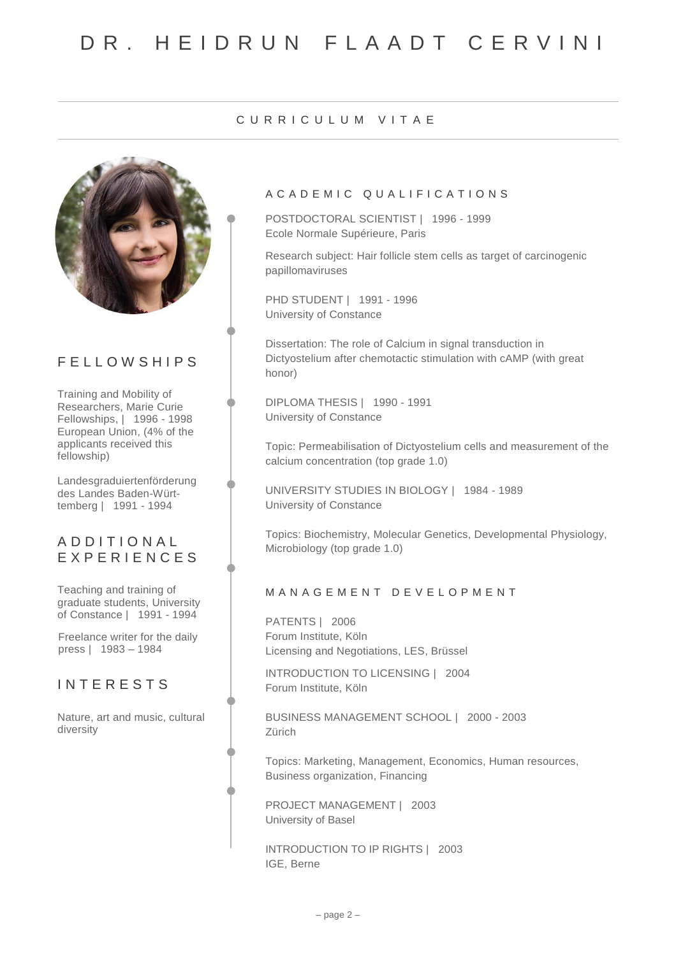### C U R R I C U L U M V I T A E



# F E L L O W S H I P S

Training and Mobility of Researchers, Marie Curie Fellowships, | 1996 - 1998 European Union, (4% of the applicants received this fellowship)

Landesgraduiertenförderung des Landes Baden-Württemberg | 1991 - 1994

## A D D I T I O N A L E X P E R I E N C E S

Teaching and training of graduate students, University of Constance | 1991 - 1994

Freelance writer for the daily press | 1983 – 1984

## **INTERESTS**

Nature, art and music, cultural diversity

### A C A D E M I C Q U A L I F I C A T I O N S

POSTDOCTORAL SCIENTIST | 1996 - 1999 Ecole Normale Supérieure, Paris

Research subject: Hair follicle stem cells as target of carcinogenic papillomaviruses

PHD STUDENT | 1991 - 1996 University of Constance

Dissertation: The role of Calcium in signal transduction in Dictyostelium after chemotactic stimulation with cAMP (with great honor)

DIPLOMA THESIS | 1990 - 1991 University of Constance

Topic: Permeabilisation of Dictyostelium cells and measurement of the calcium concentration (top grade 1.0)

UNIVERSITY STUDIES IN BIOLOGY | 1984 - 1989 University of Constance

Topics: Biochemistry, Molecular Genetics, Developmental Physiology, Microbiology (top grade 1.0)

### M A N A G E M E N T D E V E L O P M E N T

PATENTS | 2006 Forum Institute, Köln Licensing and Negotiations, LES, Brüssel

INTRODUCTION TO LICENSING | 2004 Forum Institute, Köln

BUSINESS MANAGEMENT SCHOOL | 2000 - 2003 Zürich

Topics: Marketing, Management, Economics, Human resources, Business organization, Financing

PROJECT MANAGEMENT | 2003 University of Basel

INTRODUCTION TO IP RIGHTS | 2003 IGE, Berne